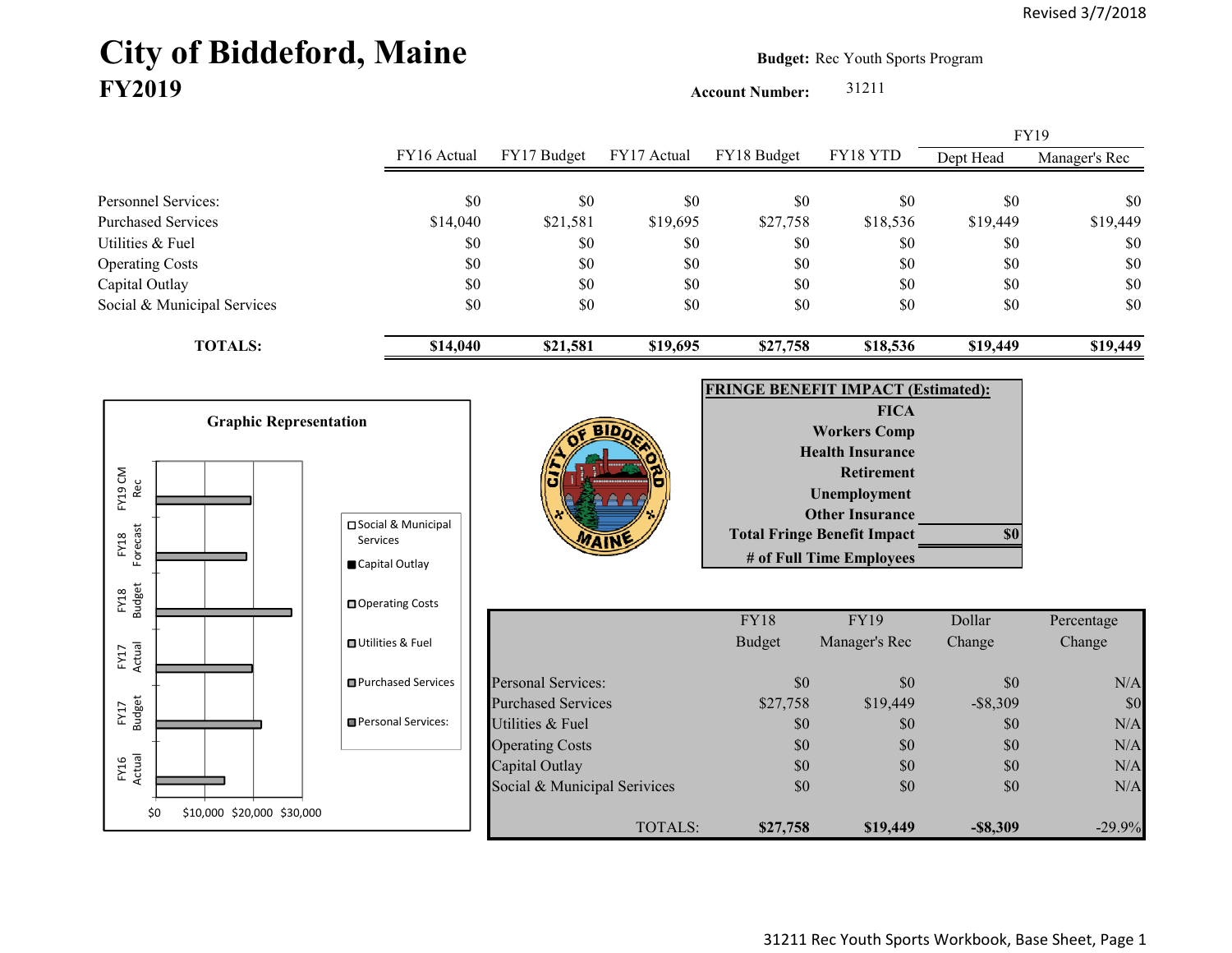## City of Biddeford, Maine **Budget:** Rec Youth Sports Program **FY2019**

**Account Number:** 31211

FY16 Actual FY17 Budget FY17 Actual FY18 Budget FY18 YTD Dept Head Manager's Rec Personnel Services: \$0 \$0 \$0 \$0 \$0 \$0 \$0 Purchased Services 514,040 \$14,040 \$21,581 \$19,695 \$27,758 \$18,536 \$19,449 \$19,449 Utilities & Fuel \$0 \$0 \$0 \$0 \$0 \$0 \$0 Operating Costs \$0 \$0 \$0 \$0 \$0 \$0 Capital Outlay \$0 \$0 \$0 \$0 \$0 \$0 Social & Municipal Services \$0 \$0 \$0 \$0 \$0 \$0 \$0 **TOTALS: \$14,040 \$21,581 \$19,695 \$27,758 \$18,536 \$19,449 \$19,449** FY19

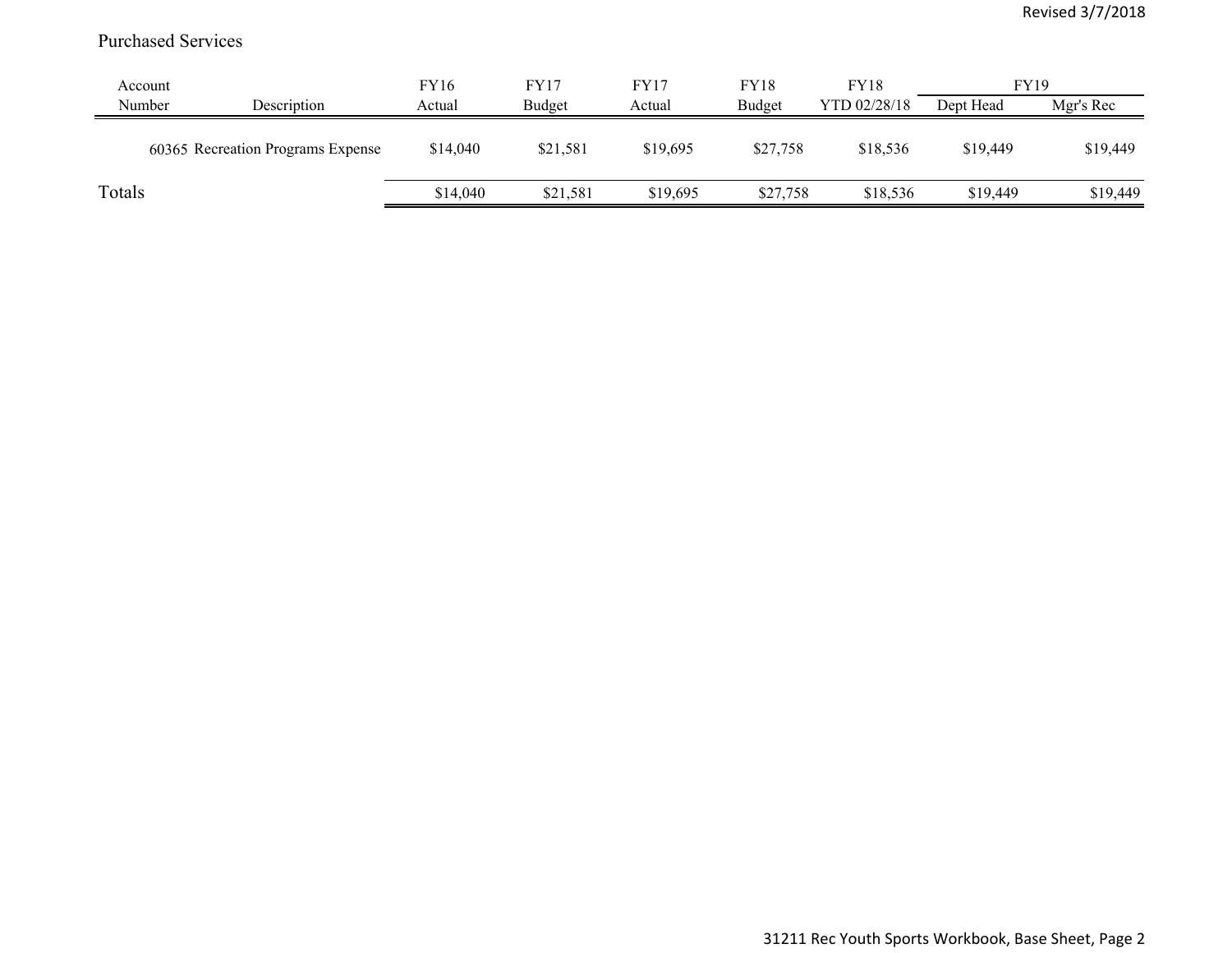## Purchased Services

| Account |                                   | FY16     | FY17     | FY17     | <b>FY18</b> | <b>FY18</b>  | <b>FY19</b> |           |
|---------|-----------------------------------|----------|----------|----------|-------------|--------------|-------------|-----------|
| Number  | Description                       | Actual   | Budget   | Actual   | Budget      | YTD 02/28/18 | Dept Head   | Mgr's Rec |
|         | 60365 Recreation Programs Expense | \$14,040 | \$21,581 | \$19,695 | \$27,758    | \$18,536     | \$19,449    | \$19,449  |
| Totals  |                                   | \$14,040 | \$21,581 | \$19,695 | \$27,758    | \$18,536     | \$19,449    | \$19,449  |